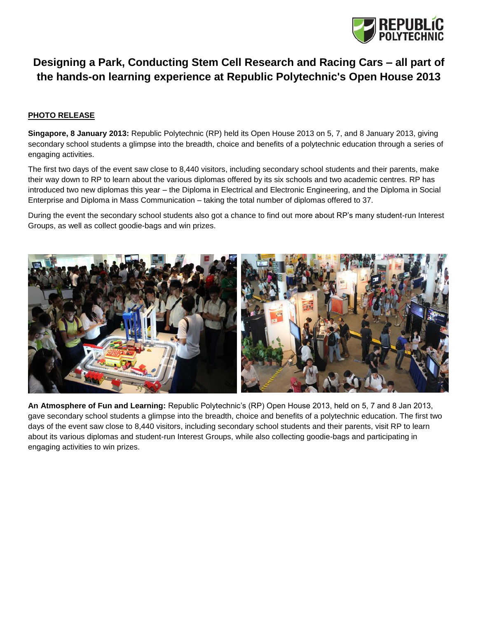

## **Designing a Park, Conducting Stem Cell Research and Racing Cars – all part of the hands-on learning experience at Republic Polytechnic's Open House 2013**

## **PHOTO RELEASE**

**Singapore, 8 January 2013:** Republic Polytechnic (RP) held its Open House 2013 on 5, 7, and 8 January 2013, giving secondary school students a glimpse into the breadth, choice and benefits of a polytechnic education through a series of engaging activities.

The first two days of the event saw close to 8,440 visitors, including secondary school students and their parents, make their way down to RP to learn about the various diplomas offered by its six schools and two academic centres. RP has introduced two new diplomas this year – the Diploma in Electrical and Electronic Engineering, and the Diploma in Social Enterprise and Diploma in Mass Communication – taking the total number of diplomas offered to 37.

During the event the secondary school students also got a chance to find out more about RP's many student-run Interest Groups, as well as collect goodie-bags and win prizes.



**An Atmosphere of Fun and Learning:** Republic Polytechnic's (RP) Open House 2013, held on 5, 7 and 8 Jan 2013, gave secondary school students a glimpse into the breadth, choice and benefits of a polytechnic education. The first two days of the event saw close to 8,440 visitors, including secondary school students and their parents, visit RP to learn about its various diplomas and student-run Interest Groups, while also collecting goodie-bags and participating in engaging activities to win prizes.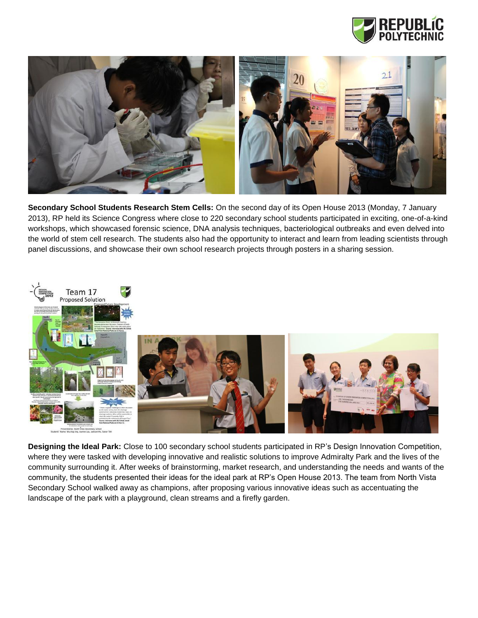



**Secondary School Students Research Stem Cells:** On the second day of its Open House 2013 (Monday, 7 January 2013), RP held its Science Congress where close to 220 secondary school students participated in exciting, one-of-a-kind workshops, which showcased forensic science, DNA analysis techniques, bacteriological outbreaks and even delved into the world of stem cell research. The students also had the opportunity to interact and learn from leading scientists through panel discussions, and showcase their own school research projects through posters in a sharing session.



**Designing the Ideal Park:** Close to 100 secondary school students participated in RP's Design Innovation Competition, where they were tasked with developing innovative and realistic solutions to improve Admiralty Park and the lives of the community surrounding it. After weeks of brainstorming, market research, and understanding the needs and wants of the community, the students presented their ideas for the ideal park at RP's Open House 2013. The team from North Vista Secondary School walked away as champions, after proposing various innovative ideas such as accentuating the landscape of the park with a playground, clean streams and a firefly garden.